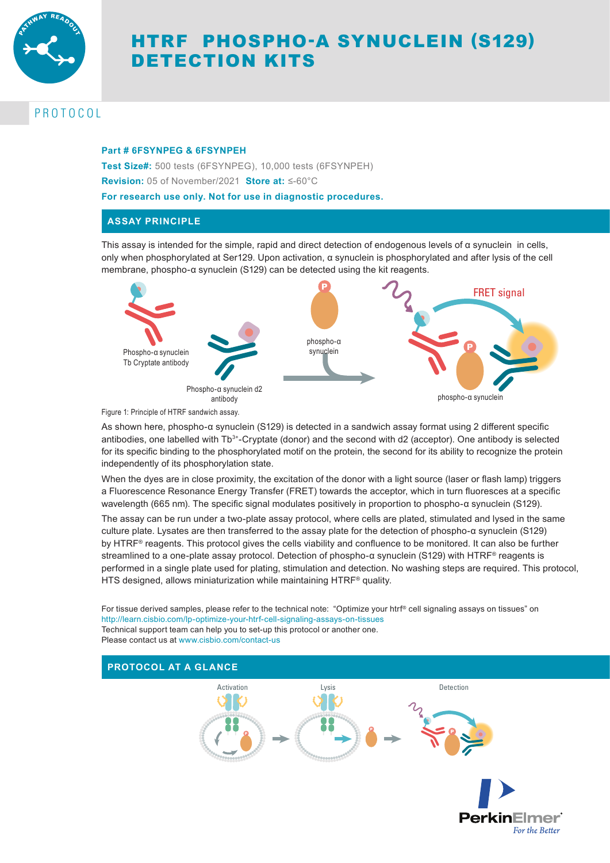

# HTRF PHOSPHO-Α SYNUCLEIN (S129) DETECTION KITS

## PROTOCOL

## **Part # 6FSYNPEG & 6FSYNPEH**

**Test Size#:** 500 tests (6FSYNPEG), 10,000 tests (6FSYNPEH) **Revision:** 05 of November/2021 **Store at:** ≤-60°C

**For research use only. Not for use in diagnostic procedures.**

## **ASSAY PRINCIPLE**

This assay is intended for the simple, rapid and direct detection of endogenous levels of  $\alpha$  synuclein in cells, only when phosphorylated at Ser129. Upon activation, α synuclein is phosphorylated and after lysis of the cell membrane, phospho-α synuclein (S129) can be detected using the kit reagents.



Figure 1: Principle of HTRF sandwich assay.

As shown here, phospho-α synuclein (S129) is detected in a sandwich assay format using 2 different specific antibodies, one labelled with Tb 3+-Cryptate (donor) and the second with d2 (acceptor). One antibody is selected for its specific binding to the phosphorylated motif on the protein, the second for its ability to recognize the protein independently of its phosphorylation state.

When the dyes are in close proximity, the excitation of the donor with a light source (laser or flash lamp) triggers a Fluorescence Resonance Energy Transfer (FRET) towards the acceptor, which in turn fluoresces at a specific wavelength (665 nm). The specific signal modulates positively in proportion to phospho-α synuclein (S129).

The assay can be run under a two-plate assay protocol, where cells are plated, stimulated and lysed in the same culture plate. Lysates are then transferred to the assay plate for the detection of phospho-α synuclein (S129) by HTRF® reagents. This protocol gives the cells viability and confluence to be monitored. It can also be further streamlined to a one-plate assay protocol. Detection of phospho-α synuclein (S129) with HTRF® reagents is performed in a single plate used for plating, stimulation and detection. No washing steps are required. This protocol, HTS designed, allows miniaturization while maintaining HTRF® quality.

For tissue derived samples, please refer to the technical note: "Optimize your htrf® cell signaling assays on tissues" on http://learn.cisbio.com/lp-optimize-your-htrf-cell-signaling-assays-on-tissues Technical support team can help you to set-up this protocol or another one. Please contact us at www.cisbio.com/contact-us

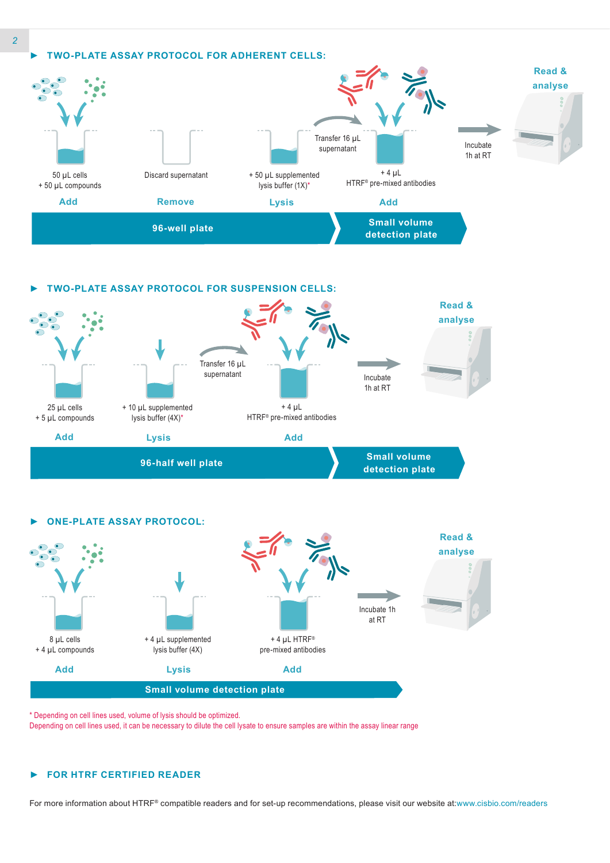





\* Depending on cell lines used, volume of lysis should be optimized.

Depending on cell lines used, it can be necessary to dilute the cell lysate to ensure samples are within the assay linear range

## *►* **FOR HTRF CERTIFIED READER**

For more information about HTRF® compatible readers and for set-up recommendations, please visit our website at:www.cisbio.com/readers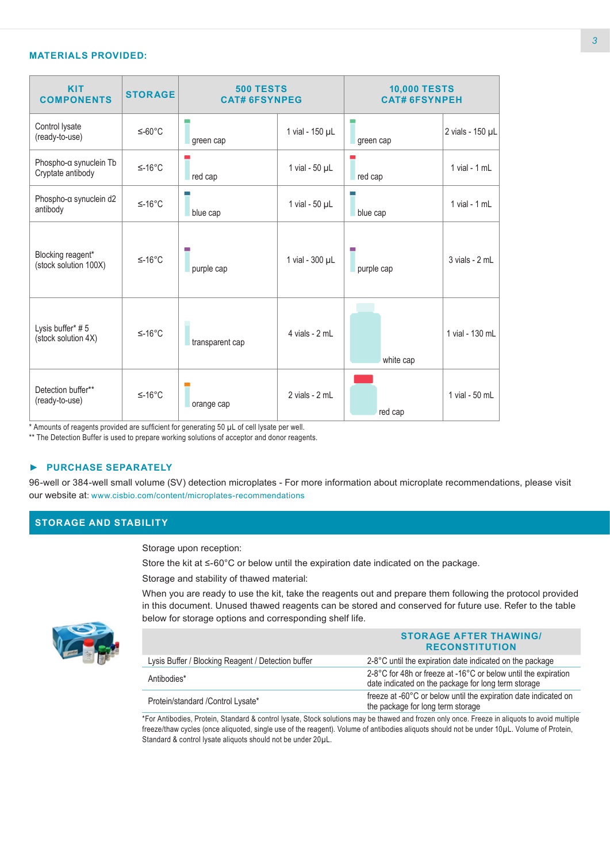## **MATERIALS PROVIDED:**

| <b>KIT</b><br><b>COMPONENTS</b>             | <b>STORAGE</b> | <b>500 TESTS</b><br><b>CAT# 6FSYNPEG</b> |                     | <b>10,000 TESTS</b><br><b>CAT# 6FSYNPEH</b> |                    |
|---------------------------------------------|----------------|------------------------------------------|---------------------|---------------------------------------------|--------------------|
| Control lysate<br>(ready-to-use)            | $≤-60°C$       | green cap                                | 1 vial - 150 µL     | green cap                                   | 2 vials - 150 µL   |
| Phospho-a synuclein Tb<br>Cryptate antibody | $≤-16°C$       | red cap                                  | 1 vial - $50 \mu L$ | red cap                                     | $1$ vial - $1$ mL  |
| Phospho-a synuclein d2<br>antibody          | $≤-16°C$       | blue cap                                 | 1 vial - $50 \mu L$ | blue cap                                    | $1$ vial - $1$ mL  |
| Blocking reagent*<br>(stock solution 100X)  | $≤-16°C$       | purple cap                               | 1 vial - 300 µL     | purple cap                                  | $3$ vials - $2$ mL |
| Lysis buffer* #5<br>(stock solution 4X)     | $≤-16°C$       | transparent cap                          | 4 vials - 2 mL      | white cap                                   | 1 vial - 130 mL    |
| Detection buffer**<br>(ready-to-use)        | $≤-16°C$       | orange cap                               | 2 vials - 2 mL      | red cap                                     | 1 vial - 50 mL     |

\* Amounts of reagents provided are sufficient for generating 50 µL of cell lysate per well.

\*\* The Detection Buffer is used to prepare working solutions of acceptor and donor reagents.

## *►* **PURCHASE SEPARATELY**

96-well or 384-well small volume (SV) detection microplates - For more information about microplate recommendations, please visit our website at: www.cisbio.com/content/microplates-recommendations

## **STORAGE AND STABILITY**

Storage upon reception:

Store the kit at ≤-60°C or below until the expiration date indicated on the package.

Storage and stability of thawed material:

When you are ready to use the kit, take the reagents out and prepare them following the protocol provided in this document. Unused thawed reagents can be stored and conserved for future use. Refer to the table below for storage options and corresponding shelf life.



|                                                    | <b>STORAGE AFTER THAWING/</b><br><b>RECONSTITUTION</b>                                                                |
|----------------------------------------------------|-----------------------------------------------------------------------------------------------------------------------|
| Lysis Buffer / Blocking Reagent / Detection buffer | 2-8°C until the expiration date indicated on the package                                                              |
| Antibodies*                                        | 2-8°C for 48h or freeze at -16°C or below until the expiration<br>date indicated on the package for long term storage |
| Protein/standard / Control Lysate*                 | freeze at -60°C or below until the expiration date indicated on<br>the package for long term storage                  |

\*For Antibodies, Protein, Standard & control lysate, Stock solutions may be thawed and frozen only once. Freeze in aliquots to avoid multiple freeze/thaw cycles (once aliquoted, single use of the reagent). Volume of antibodies aliquots should not be under 10µL. Volume of Protein, Standard & control lysate aliquots should not be under 20µL.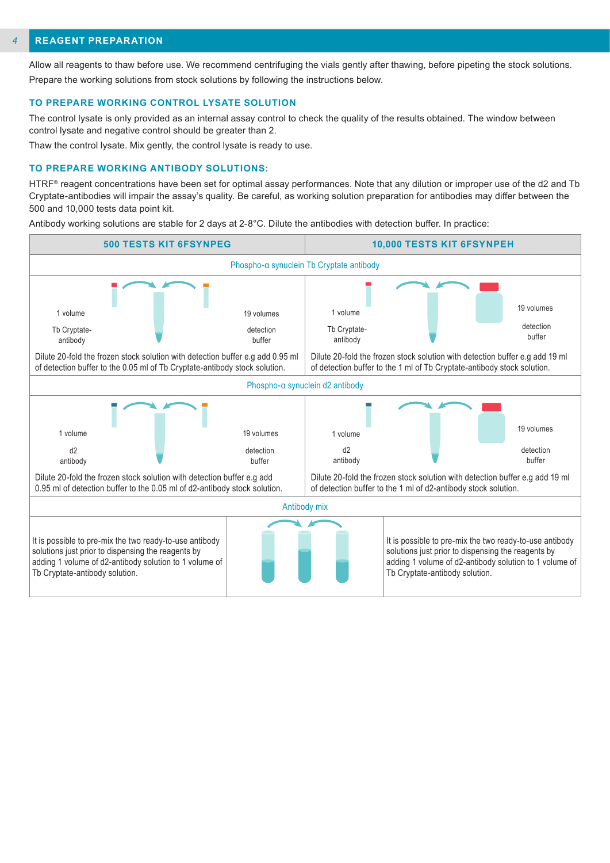#### **REAGENT PREPARATION** *4*

Allow all reagents to thaw before use. We recommend centrifuging the vials gently after thawing, before pipeting the stock solutions. Prepare the working solutions from stock solutions by following the instructions below.

#### **TO PREPARE WORKING CONTROL LYSATE SOLUTION**

The control lysate is only provided as an internal assay control to check the quality of the results obtained. The window between control lysate and negative control should be greater than 2.

Thaw the control lysate. Mix gently, the control lysate is ready to use.

#### **TO PREPARE WORKING ANTIBODY SOLUTIONS:**

HTRF<sup>®</sup> reagent concentrations have been set for optimal assay performances. Note that any dilution or improper use of the d2 and Tb Cryptate-antibodies will impair the assay's quality. Be careful, as working solution preparation for antibodies may differ between the 500 and 10,000 tests data point kit.

Antibody working solutions are stable for 2 days at 2-8°C. Dilute the antibodies with detection buffer. In practice:

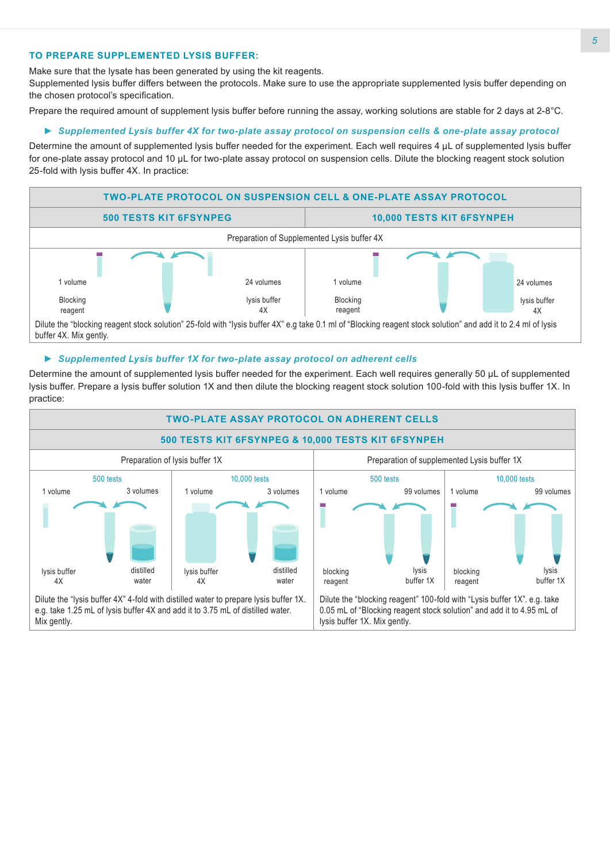## **TO PREPARE SUPPLEMENTED LYSIS BUFFER:**

Make sure that the lysate has been generated by using the kit reagents.

Supplemented lysis buffer differs between the protocols. Make sure to use the appropriate supplemented lysis buffer depending on the chosen protocol's specification.

Prepare the required amount of supplement lysis buffer before running the assay, working solutions are stable for 2 days at 2-8°C.

## *► Supplemented Lysis buffer 4X for two-plate assay protocol on suspension cells & one-plate assay protocol*

Determine the amount of supplemented lysis buffer needed for the experiment. Each well requires 4 μL of supplemented lysis buffer for one-plate assay protocol and 10 μL for two-plate assay protocol on suspension cells. Dilute the blocking reagent stock solution 25-fold with lysis buffer 4X. In practice:



## *► Supplemented Lysis buffer 1X for two-plate assay protocol on adherent cells*

Determine the amount of supplemented lysis buffer needed for the experiment. Each well requires generally 50 µL of supplemented lysis buffer. Prepare a lysis buffer solution 1X and then dilute the blocking reagent stock solution 100-fold with this lysis buffer 1X. In practice:

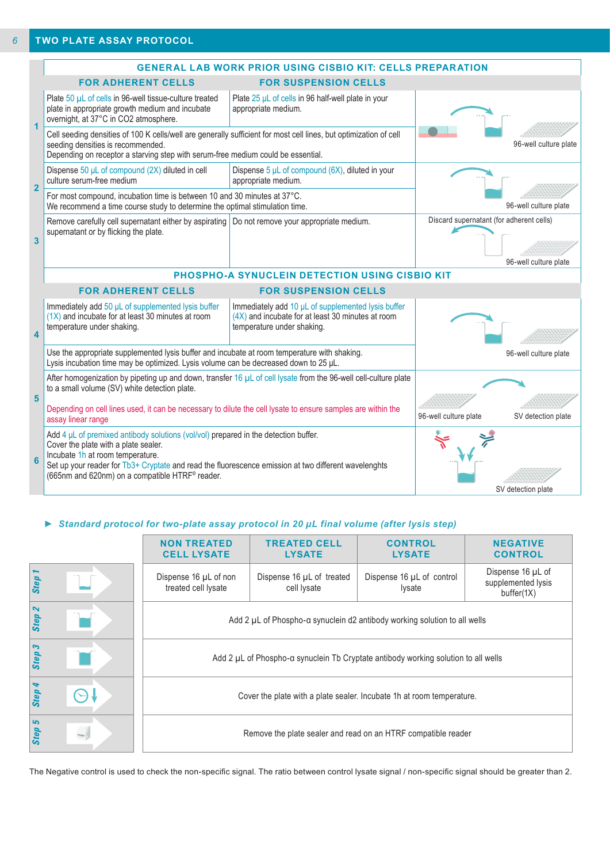|                         | <b>GENERAL LAB WORK PRIOR USING CISBIO KIT: CELLS PREPARATION</b>                                                                                                                                                                                                                                                                           |                                                                                                                                       |                                          |                       |  |
|-------------------------|---------------------------------------------------------------------------------------------------------------------------------------------------------------------------------------------------------------------------------------------------------------------------------------------------------------------------------------------|---------------------------------------------------------------------------------------------------------------------------------------|------------------------------------------|-----------------------|--|
|                         | <b>FOR ADHERENT CELLS</b>                                                                                                                                                                                                                                                                                                                   | <b>FOR SUSPENSION CELLS</b>                                                                                                           |                                          |                       |  |
|                         | Plate 50 µL of cells in 96-well tissue-culture treated<br>plate in appropriate growth medium and incubate<br>overnight, at 37°C in CO2 atmosphere.                                                                                                                                                                                          | Plate 25 µL of cells in 96 half-well plate in your<br>appropriate medium.                                                             |                                          |                       |  |
|                         | Cell seeding densities of 100 K cells/well are generally sufficient for most cell lines, but optimization of cell<br>seeding densities is recommended.<br>Depending on receptor a starving step with serum-free medium could be essential.                                                                                                  |                                                                                                                                       | 96-well culture plate                    |                       |  |
| $\overline{2}$          | Dispense 50 µL of compound (2X) diluted in cell<br>culture serum-free medium                                                                                                                                                                                                                                                                | Dispense $5 \mu L$ of compound (6X), diluted in your<br>appropriate medium.                                                           |                                          |                       |  |
|                         | For most compound, incubation time is between 10 and 30 minutes at 37°C.<br>We recommend a time course study to determine the optimal stimulation time.                                                                                                                                                                                     |                                                                                                                                       | 96-well culture plate                    |                       |  |
| $\overline{\mathbf{3}}$ | Remove carefully cell supernatant either by aspirating<br>supernatant or by flicking the plate.                                                                                                                                                                                                                                             | Do not remove your appropriate medium.                                                                                                | Discard supernatant (for adherent cells) | 96-well culture plate |  |
|                         | PHOSPHO-A SYNUCLEIN DETECTION USING CISBIO KIT                                                                                                                                                                                                                                                                                              |                                                                                                                                       |                                          |                       |  |
|                         | <b>FOR ADHERENT CELLS</b>                                                                                                                                                                                                                                                                                                                   |                                                                                                                                       |                                          |                       |  |
| $\overline{\mathbf{A}}$ | Immediately add 50 µL of supplemented lysis buffer<br>$(1X)$ and incubate for at least 30 minutes at room<br>temperature under shaking.                                                                                                                                                                                                     | Immediately add 10 µL of supplemented lysis buffer<br>(4X) and incubate for at least 30 minutes at room<br>temperature under shaking. |                                          |                       |  |
|                         | Use the appropriate supplemented lysis buffer and incubate at room temperature with shaking.<br>Lysis incubation time may be optimized. Lysis volume can be decreased down to 25 µL.                                                                                                                                                        |                                                                                                                                       | 96-well culture plate                    |                       |  |
| 5                       | After homogenization by pipeting up and down, transfer 16 µL of cell lysate from the 96-well cell-culture plate<br>to a small volume (SV) white detection plate.<br>Depending on cell lines used, it can be necessary to dilute the cell lysate to ensure samples are within the<br>assay linear range                                      | 96-well culture plate                                                                                                                 | SV detection plate                       |                       |  |
| 6                       | Add 4 $\mu$ L of premixed antibody solutions (vol/vol) prepared in the detection buffer.<br>Cover the plate with a plate sealer.<br>Incubate 1h at room temperature.<br>Set up your reader for Tb3+ Cryptate and read the fluorescence emission at two different wavelenghts<br>(665nm and 620nm) on a compatible HTRF <sup>®</sup> reader. |                                                                                                                                       | SV detection plate                       |                       |  |

## *► Standard protocol for two-plate assay protocol in 20 µL final volume (after lysis step)*

|        | <b>NON TREATED</b><br><b>CELL LYSATE</b>     | <b>TREATED CELL</b><br><b>LYSATE</b>                                               | <b>CONTROL</b><br><b>LYSATE</b>     | <b>NEGATIVE</b><br><b>CONTROL</b>                     |  |  |
|--------|----------------------------------------------|------------------------------------------------------------------------------------|-------------------------------------|-------------------------------------------------------|--|--|
| Step 1 | Dispense 16 µL of non<br>treated cell lysate | Dispense 16 µL of treated<br>cell lysate                                           | Dispense 16 µL of control<br>lysate | Dispense 16 µL of<br>supplemented lysis<br>buffer(1X) |  |  |
| Step 2 |                                              | Add 2 µL of Phospho-a synuclein d2 antibody working solution to all wells          |                                     |                                                       |  |  |
| Step 3 |                                              | Add 2 µL of Phospho-a synuclein Tb Cryptate antibody working solution to all wells |                                     |                                                       |  |  |
| Step 4 |                                              | Cover the plate with a plate sealer. Incubate 1h at room temperature.              |                                     |                                                       |  |  |
| Step 5 |                                              | Remove the plate sealer and read on an HTRF compatible reader                      |                                     |                                                       |  |  |

The Negative control is used to check the non-specific signal. The ratio between control lysate signal / non-specific signal should be greater than 2.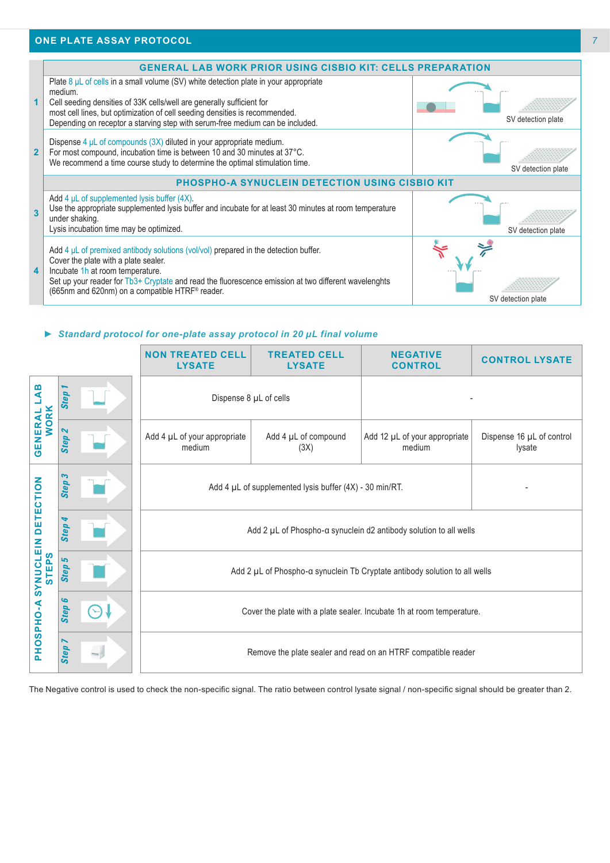## **ONE PLATE ASSAY PROTOCOL**



#### *► Standard protocol for one-plate assay protocol in 20 µL final volume*

|                                                                    |                                          | <b>NON TREATED CELL</b><br><b>LYSATE</b>                                                                                                               | <b>TREATED CELL</b><br><b>LYSATE</b> | <b>NEGATIVE</b><br><b>CONTROL</b>       | <b>CONTROL LYSATE</b>               |
|--------------------------------------------------------------------|------------------------------------------|--------------------------------------------------------------------------------------------------------------------------------------------------------|--------------------------------------|-----------------------------------------|-------------------------------------|
| മ<br>⋖<br><b>WORK</b><br>GENERAL                                   | <b>Step</b>                              |                                                                                                                                                        | Dispense 8 µL of cells               |                                         |                                     |
|                                                                    | $\boldsymbol{\mathsf{N}}$<br><b>Step</b> | Add 4 µL of your appropriate<br>medium                                                                                                                 | Add 4 µL of compound<br>(3X)         | Add 12 µL of your appropriate<br>medium | Dispense 16 µL of control<br>lysate |
| <b>DETECTION</b><br><b>SYNUCLEIN</b><br><b>STEPS</b><br>₹<br>OSPHO | S<br><b>Step</b>                         | Add 4 $\mu$ L of supplemented lysis buffer (4X) - 30 min/RT.                                                                                           |                                      |                                         |                                     |
|                                                                    | ↬<br><b>Step</b>                         | Add 2 µL of Phospho-a synuclein d2 antibody solution to all wells                                                                                      |                                      |                                         |                                     |
|                                                                    | 5<br><b>Step</b>                         | Add 2 µL of Phospho-a synuclein Tb Cryptate antibody solution to all wells                                                                             |                                      |                                         |                                     |
|                                                                    | G<br><b>Step</b>                         | Cover the plate with a plate sealer. Incubate 1h at room temperature.                                                                                  |                                      |                                         |                                     |
| 홊                                                                  | <b>Step</b>                              | Remove the plate sealer and read on an HTRF compatible reader                                                                                          |                                      |                                         |                                     |
|                                                                    |                                          | The Negative control is used to check the non-specific signal. The ratio between control lysate signal / non-specific signal should be greater than 2. |                                      |                                         |                                     |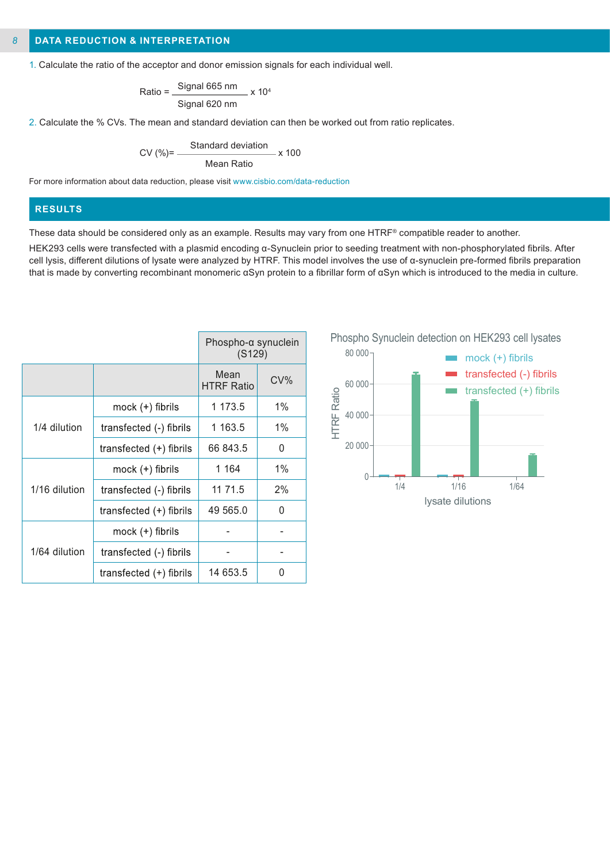1. Calculate the ratio of the acceptor and donor emission signals for each individual well.

$$
Ratio = \frac{Signal 665 nm}{Signal 620 nm} \times 10^4
$$

2. Calculate the % CVs. The mean and standard deviation can then be worked out from ratio replicates.

$$
CV (%) = \frac{Standard deviation}{Mean Ratio} \times 100
$$

For more information about data reduction, please visit www.cisbio.com/data-reduction

## **RESULTS**

These data should be considered only as an example. Results may vary from one HTRF® compatible reader to another.

HEK293 cells were transfected with a plasmid encoding α-Synuclein prior to seeding treatment with non-phosphorylated fibrils. After cell lysis, different dilutions of lysate were analyzed by HTRF. This model involves the use of α-synuclein pre-formed fibrils preparation that is made by converting recombinant monomeric αSyn protein to a fibrillar form of αSyn which is introduced to the media in culture.

|               |                           | Phospho-a synuclein<br>(S129) |        |
|---------------|---------------------------|-------------------------------|--------|
|               |                           | Mean<br><b>HTRF Ratio</b>     | $CV\%$ |
|               | mock (+) fibrils          | 1 173.5                       | $1\%$  |
| 1/4 dilution  | transfected (-) fibrils   | 1 163.5                       | 1%     |
|               | transfected $(+)$ fibrils | 66 843.5                      | 0      |
|               | mock $(+)$ fibrils        | 1 1 6 4                       | $1\%$  |
| 1/16 dilution | transfected (-) fibrils   | 11 71.5                       | 2%     |
|               | transfected $(+)$ fibrils | 49 565.0                      | U      |
|               | mock $(+)$ fibrils        |                               |        |
| 1/64 dilution | transfected (-) fibrils   |                               |        |
|               | transfected (+) fibrils   | 14 653.5                      | O      |